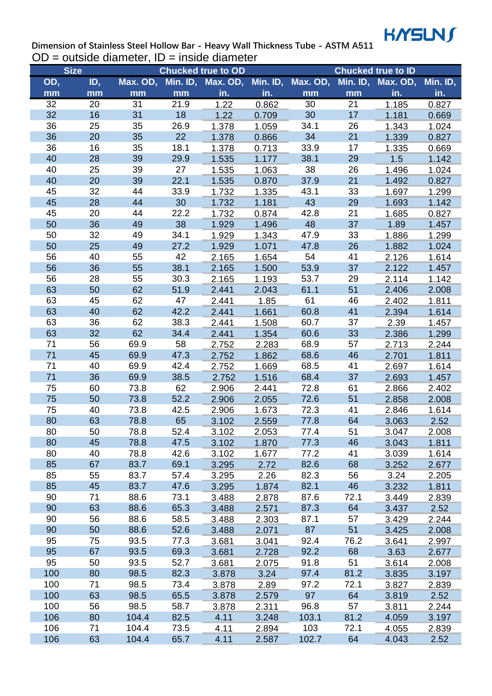

**Dimension of Stainless Steel Hollow Bar - Heavy Wall Thickness Tube - ASTM A511**  $OD = outside diameter, ID = inside diameter$ 

| <b>Size</b> |          |          |      | <b>Chucked true to OD</b> |          |          |          | <b>Chucked true to ID</b> |          |
|-------------|----------|----------|------|---------------------------|----------|----------|----------|---------------------------|----------|
| OD,         | ID,      | Max. OD, |      | Min. ID, Max. OD,         | Min. ID, | Max. OD, | Min. ID, | Max. OD,                  | Min. ID, |
| mm          | mm       | mm       | mm   | in.                       | in.      | mm       | mm       | in.                       | in.      |
| 32          | 20       | 31       | 21.9 | 1.22                      | 0.862    | 30       | 21       | 1.185                     | 0.827    |
| 32          | 16       | 31       | 18   | 1.22                      | 0.709    | 30       | 17       | 1.181                     | 0.669    |
| 36          | 25       | 35       | 26.9 | 1.378                     | 1.059    | 34.1     | 26       | 1.343                     | 1.024    |
| 36          | 20       | 35       | 22   | 1.378                     | 0.866    | 34       | 21       | 1.339                     | 0.827    |
| 36          | 16       | 35       | 18.1 | 1.378                     | 0.713    | 33.9     | 17       | 1.335                     | 0.669    |
| 40          | 28       | 39       | 29.9 | 1.535                     | 1.177    | 38.1     | 29       | 1.5                       | 1.142    |
| 40          | 25       | 39       | 27   | 1.535                     | 1.063    | 38       | 26       | 1.496                     | 1.024    |
| 40          | 20       | 39       | 22.1 | 1.535                     | 0.870    | 37.9     | 21       | 1.492                     | 0.827    |
| 45          | 32       | 44       | 33.9 | 1.732                     | 1.335    | 43.1     | 33       | 1.697                     | 1.299    |
| 45          | 28       | 44       | 30   | 1.732                     | 1.181    | 43       | 29       | 1.693                     | 1.142    |
| 45          | 20       | 44       | 22.2 | 1.732                     | 0.874    | 42.8     | 21       | 1.685                     | 0.827    |
| 50          | 36       | 49       | 38   | 1.929                     | 1.496    | 48       | 37       | 1.89                      | 1.457    |
| 50          | 32       | 49       | 34.1 | 1.929                     | 1.343    | 47.9     | 33       | 1.886                     | 1.299    |
| 50          | 25       | 49       | 27.2 | 1.929                     | 1.071    | 47.8     | 26       | 1.882                     | 1.024    |
| 56          | 40       | 55       | 42   | 2.165                     | 1.654    | 54       | 41       | 2.126                     | 1.614    |
| 56          | 36       | 55       | 38.1 | 2.165                     | 1.500    | 53.9     | 37       | 2.122                     | 1.457    |
| 56          | 28       | 55       | 30.3 | 2.165                     | 1.193    | 53.7     | 29       | 2.114                     | 1.142    |
| 63          | 50       | 62       | 51.9 | 2.441                     | 2.043    | 61.1     | 51       | 2.406                     | 2.008    |
| 63          | 45       | 62       | 47   | 2.441                     | 1.85     | 61       | 46       | 2.402                     | 1.811    |
| 63          | 40       | 62       | 42.2 | 2.441                     | 1.661    | 60.8     | 41       | 2.394                     | 1.614    |
| 63          | 36       | 62       | 38.3 | 2.441                     | 1.508    | 60.7     | 37       | 2.39                      | 1.457    |
| 63          | 32       | 62       | 34.4 | 2.441                     | 1.354    | 60.6     | 33       | 2.386                     | 1.299    |
| 71          | 56       | 69.9     | 58   | 2.752                     | 2.283    | 68.9     | 57       | 2.713                     | 2.244    |
| 71          | 45       | 69.9     | 47.3 | 2.752                     | 1.862    | 68.6     | 46       | 2.701                     | 1.811    |
| 71          | 40       | 69.9     | 42.4 | 2.752                     | 1.669    | 68.5     | 41       | 2.697                     | 1.614    |
| 71          | 36       | 69.9     | 38.5 | 2.752                     | 1.516    | 68.4     | 37       | 2.693                     | 1.457    |
| 75          | 60       | 73.8     | 62   | 2.906                     | 2.441    | 72.8     | 61       | 2.866                     | 2.402    |
| 75          | 50       | 73.8     | 52.2 | 2.906                     | 2.055    | 72.6     | 51       | 2.858                     | 2.008    |
| 75          | 40       | 73.8     | 42.5 | 2.906                     | 1.673    | 72.3     | 41       | 2.846                     | 1.614    |
| 80          | 63       | 78.8     | 65   | 3.102                     | 2.559    | 77.8     | 64       | 3.063                     | 2.52     |
| 80          | 50       | 78.8     | 52.4 | 3.102                     | 2.053    | 77.4     | 51       | 3.047                     | 2.008    |
| 80          | 45       | 78.8     | 47.5 | 3.102                     | 1.870    | 77.3     | 46       | 3.043                     | 1.811    |
| 80          | 40       | 78.8     | 42.6 | 3.102                     | 1.677    | 77.2     | 41       | 3.039                     | 1.614    |
| 85          | 67       | 83.7     | 69.1 | 3.295                     | 2.72     | 82.6     | 68       | 3.252                     | 2.677    |
| 85          | 55       | 83.7     | 57.4 | 3.295                     | 2.26     | 82.3     | 56       | 3.24                      | 2.205    |
| 85          | 45       | 83.7     | 47.6 | 3.295                     | 1.874    | 82.1     | 46       | 3.232                     | 1.811    |
| 90          | 71       | 88.6     | 73.1 | 3.488                     | 2.878    | 87.6     | 72.1     | 3.449                     | 2.839    |
| 90          | 63       | 88.6     | 65.3 | 3.488                     | 2.571    | 87.3     | 64       | 3.437                     | 2.52     |
| 90          | 56       | 88.6     | 58.5 | 3.488                     | 2.303    | 87.1     | 57       | 3.429                     | 2.244    |
| 90          | 50       | 88.6     | 52.6 | 3.488                     | 2.071    | 87       | 51       | 3.425                     | 2.008    |
| 95          | 75       | 93.5     | 77.3 |                           | 3.041    | 92.4     | 76.2     |                           | 2.997    |
| 95          | 67       | 93.5     | 69.3 | 3.681                     | 2.728    | 92.2     | 68       | 3.641<br>3.63             |          |
|             |          |          |      | 3.681                     |          |          |          |                           | 2.677    |
| 95<br>100   | 50<br>80 | 93.5     | 52.7 | 3.681                     | 2.075    | 91.8     | 51       | 3.614                     | 2.008    |
|             |          | 98.5     | 82.3 | 3.878                     | 3.24     | 97.4     | 81.2     | 3.835                     | 3.197    |
| 100         | 71       | 98.5     | 73.4 | 3.878                     | 2.89     | 97.2     | 72.1     | 3.827                     | 2.839    |
| 100         | 63       | 98.5     | 65.5 | 3.878                     | 2.579    | 97       | 64       | 3.819                     | 2.52     |
| 100         | 56       | 98.5     | 58.7 | 3.878                     | 2.311    | 96.8     | 57       | 3.811                     | 2.244    |
| 106         | 80       | 104.4    | 82.5 | 4.11                      | 3.248    | 103.1    | 81.2     | 4.059                     | 3.197    |
| 106         | 71       | 104.4    | 73.5 | 4.11                      | 2.894    | 103      | 72.1     | 4.055                     | 2.839    |
| 106         | 63       | 104.4    | 65.7 | 4.11                      | 2.587    | 102.7    | 64       | 4.043                     | 2.52     |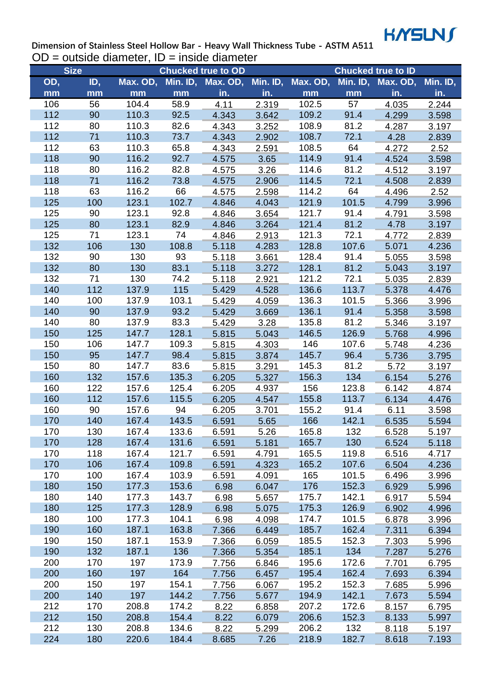

**Dimension of Stainless Steel Hollow Bar - Heavy Wall Thickness Tube - ASTM A511**  $OD = outside diameter, ID = inside diameter$ 

| <b>Size</b> |     |          |       | <b>Chucked true to OD</b> |          |          |       | <b>Chucked true to ID</b> |          |
|-------------|-----|----------|-------|---------------------------|----------|----------|-------|---------------------------|----------|
| OD,         | ID, | Max. OD, |       | Min. ID, Max. OD,         | Min. ID, | Max. OD, |       | Min. ID, Max. OD,         | Min. ID, |
| mm          | mm  | mm       | mm    | in.                       | in.      | mm       | mm    | in.                       | in.      |
| 106         | 56  | 104.4    | 58.9  | 4.11                      | 2.319    | 102.5    | 57    | 4.035                     | 2.244    |
| 112         | 90  | 110.3    | 92.5  | 4.343                     | 3.642    | 109.2    | 91.4  | 4.299                     | 3.598    |
| 112         | 80  | 110.3    | 82.6  | 4.343                     | 3.252    | 108.9    | 81.2  | 4.287                     | 3.197    |
| 112         | 71  | 110.3    | 73.7  | 4.343                     | 2.902    | 108.7    | 72.1  | 4.28                      | 2.839    |
| 112         | 63  | 110.3    | 65.8  | 4.343                     | 2.591    | 108.5    | 64    | 4.272                     | 2.52     |
| 118         | 90  | 116.2    | 92.7  | 4.575                     | 3.65     | 114.9    | 91.4  | 4.524                     | 3.598    |
| 118         | 80  | 116.2    | 82.8  | 4.575                     | 3.26     | 114.6    | 81.2  | 4.512                     | 3.197    |
| 118         | 71  | 116.2    | 73.8  | 4.575                     | 2.906    | 114.5    | 72.1  | 4.508                     | 2.839    |
| 118         | 63  | 116.2    | 66    | 4.575                     | 2.598    | 114.2    | 64    | 4.496                     | 2.52     |
| 125         | 100 | 123.1    | 102.7 | 4.846                     | 4.043    | 121.9    | 101.5 | 4.799                     | 3.996    |
| 125         | 90  | 123.1    | 92.8  | 4.846                     | 3.654    | 121.7    | 91.4  | 4.791                     | 3.598    |
| 125         | 80  | 123.1    | 82.9  | 4.846                     | 3.264    | 121.4    | 81.2  | 4.78                      | 3.197    |
| 125         | 71  | 123.1    | 74    | 4.846                     | 2.913    | 121.3    | 72.1  | 4.772                     | 2.839    |
| 132         | 106 | 130      | 108.8 | 5.118                     | 4.283    | 128.8    | 107.6 | 5.071                     | 4.236    |
| 132         | 90  | 130      | 93    | 5.118                     | 3.661    | 128.4    | 91.4  | 5.055                     | 3.598    |
| 132         | 80  | 130      | 83.1  | 5.118                     | 3.272    | 128.1    | 81.2  | 5.043                     | 3.197    |
| 132         | 71  | 130      | 74.2  | 5.118                     | 2.921    | 121.2    | 72.1  | 5.035                     | 2.839    |
| 140         | 112 | 137.9    | 115   | 5.429                     | 4.528    | 136.6    | 113.7 | 5.378                     | 4.476    |
| 140         | 100 | 137.9    | 103.1 | 5.429                     | 4.059    | 136.3    | 101.5 | 5.366                     | 3.996    |
| 140         | 90  | 137.9    | 93.2  | 5.429                     | 3.669    | 136.1    | 91.4  | 5.358                     | 3.598    |
| 140         | 80  | 137.9    | 83.3  | 5.429                     | 3.28     | 135.8    | 81.2  | 5.346                     | 3.197    |
| 150         | 125 | 147.7    | 128.1 | 5.815                     | 5.043    | 146.5    | 126.9 | 5.768                     | 4.996    |
| 150         | 106 | 147.7    | 109.3 | 5.815                     | 4.303    | 146      | 107.6 | 5.748                     | 4.236    |
| 150         | 95  | 147.7    | 98.4  | 5.815                     | 3.874    | 145.7    | 96.4  | 5.736                     | 3.795    |
| 150         | 80  | 147.7    | 83.6  | 5.815                     | 3.291    | 145.3    | 81.2  | 5.72                      | 3.197    |
| 160         | 132 | 157.6    | 135.3 | 6.205                     | 5.327    | 156.3    | 134   | 6.154                     | 5.276    |
| 160         | 122 | 157.6    | 125.4 | 6.205                     | 4.937    | 156      | 123.8 | 6.142                     | 4.874    |
| 160         | 112 | 157.6    | 115.5 | 6.205                     | 4.547    | 155.8    | 113.7 | 6.134                     | 4.476    |
| 160         | 90  | 157.6    | 94    | 6.205                     | 3.701    | 155.2    | 91.4  | 6.11                      | 3.598    |
| 170         | 140 | 167.4    | 143.5 | 6.591                     | 5.65     | 166      | 142.1 | 6.535                     | 5.594    |
| 170         | 130 | 167.4    | 133.6 | 6.591                     | 5.26     | 165.8    | 132   | 6.528                     | 5.197    |
| 170         | 128 | 167.4    | 131.6 | 6.591                     | 5.181    | 165.7    | 130   | 6.524                     | 5.118    |
| 170         | 118 | 167.4    | 121.7 | 6.591                     | 4.791    | 165.5    | 119.8 | 6.516                     | 4.717    |
| 170         | 106 | 167.4    | 109.8 | 6.591                     | 4.323    | 165.2    | 107.6 | 6.504                     | 4.236    |
| 170         | 100 | 167.4    | 103.9 | 6.591                     | 4.091    | 165      | 101.5 | 6.496                     | 3.996    |
| 180         | 150 | 177.3    | 153.6 | 6.98                      | 6.047    | 176      | 152.3 | 6.929                     | 5.996    |
| 180         | 140 | 177.3    | 143.7 | 6.98                      | 5.657    | 175.7    | 142.1 | 6.917                     | 5.594    |
| 180         | 125 | 177.3    | 128.9 | 6.98                      | 5.075    | 175.3    | 126.9 | 6.902                     | 4.996    |
| 180         | 100 | 177.3    | 104.1 | 6.98                      | 4.098    | 174.7    | 101.5 | 6.878                     | 3.996    |
| 190         | 160 | 187.1    | 163.8 | 7.366                     | 6.449    | 185.7    | 162.4 | 7.311                     | 6.394    |
| 190         | 150 | 187.1    | 153.9 | 7.366                     | 6.059    | 185.5    | 152.3 | 7.303                     | 5.996    |
| 190         | 132 | 187.1    | 136   | 7.366                     | 5.354    | 185.1    | 134   | 7.287                     | 5.276    |
| 200         | 170 | 197      | 173.9 | 7.756                     | 6.846    | 195.6    | 172.6 | 7.701                     | 6.795    |
| 200         | 160 | 197      | 164   | 7.756                     | 6.457    | 195.4    | 162.4 | 7.693                     | 6.394    |
| 200         | 150 | 197      | 154.1 | 7.756                     | 6.067    | 195.2    | 152.3 | 7.685                     | 5.996    |
| 200         | 140 | 197      | 144.2 | 7.756                     | 5.677    | 194.9    | 142.1 | 7.673                     | 5.594    |
| 212         | 170 | 208.8    | 174.2 | 8.22                      | 6.858    | 207.2    | 172.6 | 8.157                     | 6.795    |
| 212         | 150 | 208.8    | 154.4 | 8.22                      | 6.079    | 206.6    | 152.3 | 8.133                     | 5.997    |
| 212         | 130 | 208.8    | 134.6 | 8.22                      | 5.299    | 206.2    | 132   | 8.118                     | 5.197    |
| 224         | 180 | 220.6    | 184.4 | 8.685                     | 7.26     | 218.9    | 182.7 | 8.618                     | 7.193    |